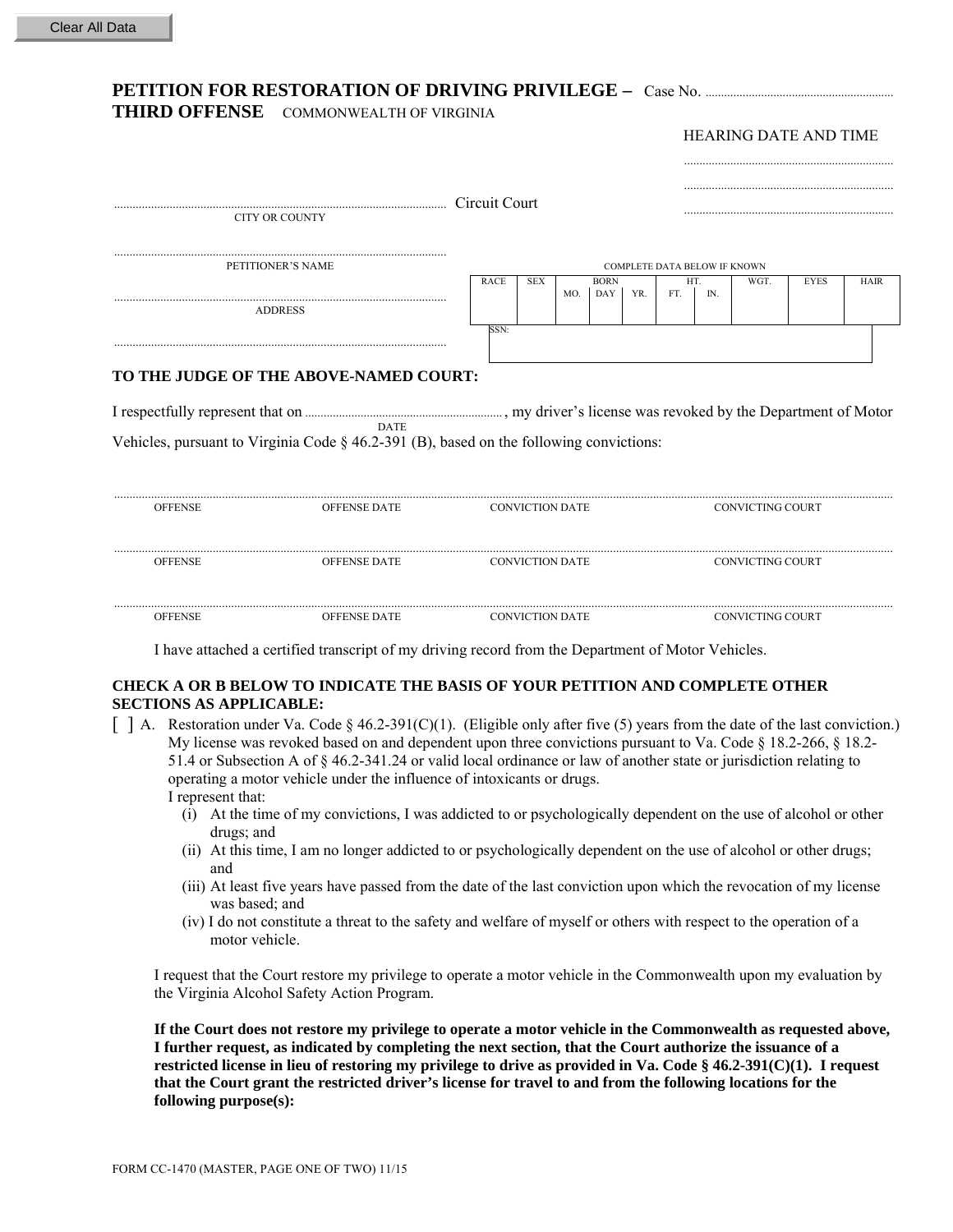## **PETITION FOR RESTORATION OF DRIVING PRIVILEGE –** Case No. .......................

**THIRD OFFENSE** COMMONWEALTH OF VIRGINIA

HEARING DATE AND TIME ....................................................................

|                   | CITY OR COUNTY                                                                                                                                      | Circuit Court |                                     |     |                           |     |                         |      |             |             |  |  |
|-------------------|-----------------------------------------------------------------------------------------------------------------------------------------------------|---------------|-------------------------------------|-----|---------------------------|-----|-------------------------|------|-------------|-------------|--|--|
| PETITIONER'S NAME |                                                                                                                                                     |               | <b>COMPLETE DATA BELOW IF KNOWN</b> |     |                           |     |                         |      |             |             |  |  |
|                   | <b>ADDRESS</b>                                                                                                                                      | <b>RACE</b>   | <b>SEX</b>                          | MO. | <b>BORN</b><br><b>DAY</b> | YR. | HT.<br>IN.<br>FT.       | WGT. | <b>EYES</b> | <b>HAIR</b> |  |  |
|                   | TO THE JUDGE OF THE ABOVE-NAMED COURT:<br><b>DATE</b><br>Vehicles, pursuant to Virginia Code $\S$ 46.2-391 (B), based on the following convictions: | SSN:          |                                     |     |                           |     |                         |      |             |             |  |  |
| <b>OFFENSE</b>    | <b>OFFENSE DATE</b>                                                                                                                                 |               | <b>CONVICTION DATE</b>              |     |                           |     | <b>CONVICTING COURT</b> |      |             |             |  |  |
| <b>OFFENSE</b>    | <b>OFFENSE DATE</b>                                                                                                                                 |               | <b>CONVICTION DATE</b>              |     |                           |     | <b>CONVICTING COURT</b> |      |             |             |  |  |

I have attached a certified transcript of my driving record from the Department of Motor Vehicles.

## **CHECK A OR B BELOW TO INDICATE THE BASIS OF YOUR PETITION AND COMPLETE OTHER SECTIONS AS APPLICABLE:**

 $\lceil$  A. Restoration under Va. Code § 46.2-391(C)(1). (Eligible only after five (5) years from the date of the last conviction.) My license was revoked based on and dependent upon three convictions pursuant to Va. Code § 18.2-266, § 18.2- 51.4 or Subsection A of § 46.2-341.24 or valid local ordinance or law of another state or jurisdiction relating to operating a motor vehicle under the influence of intoxicants or drugs. I represent that:

............................................................................................................................................................................................................................................................. OFFENSE OFFENSE DATE CONVICTION DATE CONVICTING COURT

- (i) At the time of my convictions, I was addicted to or psychologically dependent on the use of alcohol or other drugs; and
- (ii) At this time, I am no longer addicted to or psychologically dependent on the use of alcohol or other drugs; and
- (iii) At least five years have passed from the date of the last conviction upon which the revocation of my license was based; and
- (iv) I do not constitute a threat to the safety and welfare of myself or others with respect to the operation of a motor vehicle.

I request that the Court restore my privilege to operate a motor vehicle in the Commonwealth upon my evaluation by the Virginia Alcohol Safety Action Program.

**If the Court does not restore my privilege to operate a motor vehicle in the Commonwealth as requested above, I further request, as indicated by completing the next section, that the Court authorize the issuance of a restricted license in lieu of restoring my privilege to drive as provided in Va. Code § 46.2-391(C)(1). I request that the Court grant the restricted driver's license for travel to and from the following locations for the following purpose(s):**